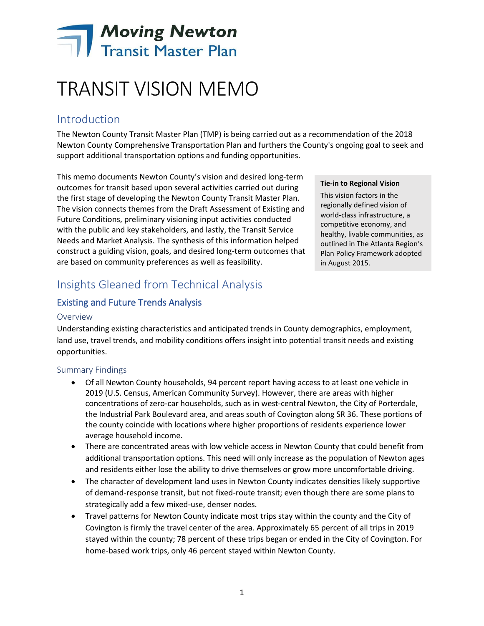### TRANSIT VISION MEMO

### Introduction

The Newton County Transit Master Plan (TMP) is being carried out as a recommendation of the 2018 Newton County Comprehensive Transportation Plan and furthers the County's ongoing goal to seek and support additional transportation options and funding opportunities.

This memo documents Newton County's vision and desired long-term outcomes for transit based upon several activities carried out during the first stage of developing the Newton County Transit Master Plan. The vision connects themes from the Draft Assessment of Existing and Future Conditions, preliminary visioning input activities conducted with the public and key stakeholders, and lastly, the Transit Service Needs and Market Analysis. The synthesis of this information helped construct a guiding vision, goals, and desired long-term outcomes that are based on community preferences as well as feasibility.

### Insights Gleaned from Technical Analysis

### Existing and Future Trends Analysis

### Overview

Understanding existing characteristics and anticipated trends in County demographics, employment, land use, travel trends, and mobility conditions offers insight into potential transit needs and existing opportunities.

### Summary Findings

- Of all Newton County households, 94 percent report having access to at least one vehicle in 2019 (U.S. Census, American Community Survey). However, there are areas with higher concentrations of zero-car households, such as in west-central Newton, the City of Porterdale, the Industrial Park Boulevard area, and areas south of Covington along SR 36. These portions of the county coincide with locations where higher proportions of residents experience lower average household income.
- There are concentrated areas with low vehicle access in Newton County that could benefit from additional transportation options. This need will only increase as the population of Newton ages and residents either lose the ability to drive themselves or grow more uncomfortable driving.
- The character of development land uses in Newton County indicates densities likely supportive of demand-response transit, but not fixed-route transit; even though there are some plans to strategically add a few mixed-use, denser nodes.
- Travel patterns for Newton County indicate most trips stay within the county and the City of Covington is firmly the travel center of the area. Approximately 65 percent of all trips in 2019 stayed within the county; 78 percent of these trips began or ended in the City of Covington. For home-based work trips, only 46 percent stayed within Newton County.

#### **Tie-in to Regional Vision**

This vision factors in the regionally defined vision of world-class infrastructure, a competitive economy, and healthy, livable communities, as outlined in The Atlanta Region's Plan Policy Framework adopted in August 2015.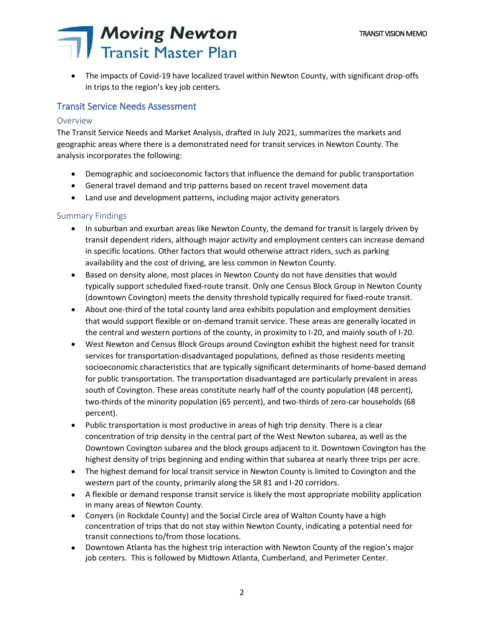• The impacts of Covid-19 have localized travel within Newton County, with significant drop-offs in trips to the region's key job centers.

### Transit Service Needs Assessment

### Overview

The Transit Service Needs and Market Analysis, drafted in July 2021, summarizes the markets and geographic areas where there is a demonstrated need for transit services in Newton County. The analysis incorporates the following:

- Demographic and socioeconomic factors that influence the demand for public transportation
- General travel demand and trip patterns based on recent travel movement data
- Land use and development patterns, including major activity generators

### Summary Findings

- In suburban and exurban areas like Newton County, the demand for transit is largely driven by transit dependent riders, although major activity and employment centers can increase demand in specific locations. Other factors that would otherwise attract riders, such as parking availability and the cost of driving, are less common in Newton County.
- Based on density alone, most places in Newton County do not have densities that would typically support scheduled fixed-route transit. Only one Census Block Group in Newton County (downtown Covington) meets the density threshold typically required for fixed-route transit.
- About one-third of the total county land area exhibits population and employment densities that would support flexible or on-demand transit service. These areas are generally located in the central and western portions of the county, in proximity to I-20, and mainly south of I-20.
- West Newton and Census Block Groups around Covington exhibit the highest need for transit services for transportation-disadvantaged populations, defined as those residents meeting socioeconomic characteristics that are typically significant determinants of home-based demand for public transportation. The transportation disadvantaged are particularly prevalent in areas south of Covington. These areas constitute nearly half of the county population (48 percent), two-thirds of the minority population (65 percent), and two-thirds of zero-car households (68 percent).
- Public transportation is most productive in areas of high trip density. There is a clear concentration of trip density in the central part of the West Newton subarea, as well as the Downtown Covington subarea and the block groups adjacent to it. Downtown Covington has the highest density of trips beginning and ending within that subarea at nearly three trips per acre.
- The highest demand for local transit service in Newton County is limited to Covington and the western part of the county, primarily along the SR 81 and I-20 corridors.
- A flexible or demand response transit service is likely the most appropriate mobility application in many areas of Newton County.
- Conyers (in Rockdale County) and the Social Circle area of Walton County have a high concentration of trips that do not stay within Newton County, indicating a potential need for transit connections to/from those locations.
- Downtown Atlanta has the highest trip interaction with Newton County of the region's major job centers. This is followed by Midtown Atlanta, Cumberland, and Perimeter Center.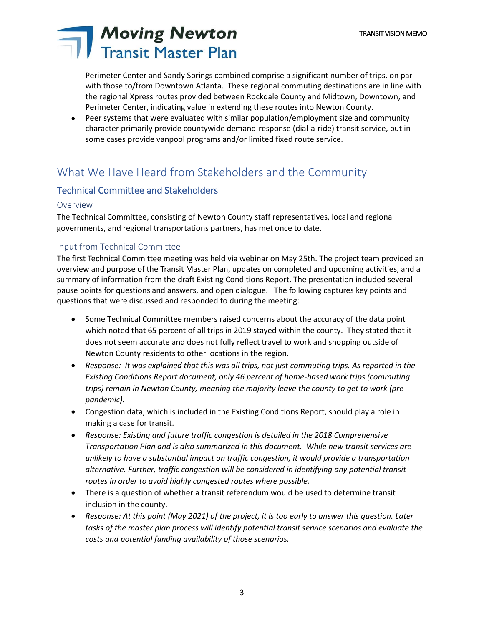Perimeter Center and Sandy Springs combined comprise a significant number of trips, on par with those to/from Downtown Atlanta. These regional commuting destinations are in line with the regional Xpress routes provided between Rockdale County and Midtown, Downtown, and Perimeter Center, indicating value in extending these routes into Newton County.

• Peer systems that were evaluated with similar population/employment size and community character primarily provide countywide demand-response (dial-a-ride) transit service, but in some cases provide vanpool programs and/or limited fixed route service.

### What We Have Heard from Stakeholders and the Community

### Technical Committee and Stakeholders

### Overview

The Technical Committee, consisting of Newton County staff representatives, local and regional governments, and regional transportations partners, has met once to date.

### Input from Technical Committee

The first Technical Committee meeting was held via webinar on May 25th. The project team provided an overview and purpose of the Transit Master Plan, updates on completed and upcoming activities, and a summary of information from the draft Existing Conditions Report. The presentation included several pause points for questions and answers, and open dialogue. The following captures key points and questions that were discussed and responded to during the meeting:

- Some Technical Committee members raised concerns about the accuracy of the data point which noted that 65 percent of all trips in 2019 stayed within the county. They stated that it does not seem accurate and does not fully reflect travel to work and shopping outside of Newton County residents to other locations in the region.
- *Response: It was explained that this was all trips, not just commuting trips. As reported in the Existing Conditions Report document, only 46 percent of home-based work trips (commuting trips) remain in Newton County, meaning the majority leave the county to get to work (prepandemic).*
- Congestion data, which is included in the Existing Conditions Report, should play a role in making a case for transit.
- *Response: Existing and future traffic congestion is detailed in the 2018 Comprehensive Transportation Plan and is also summarized in this document. While new transit services are unlikely to have a substantial impact on traffic congestion, it would provide a transportation alternative. Further, traffic congestion will be considered in identifying any potential transit routes in order to avoid highly congested routes where possible.*
- There is a question of whether a transit referendum would be used to determine transit inclusion in the county.
- *Response: At this point (May 2021) of the project, it is too early to answer this question. Later tasks of the master plan process will identify potential transit service scenarios and evaluate the costs and potential funding availability of those scenarios.*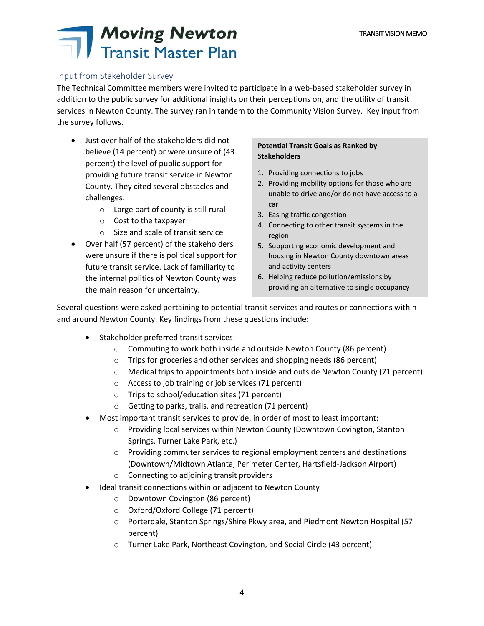### Input from Stakeholder Survey

The Technical Committee members were invited to participate in a web-based stakeholder survey in addition to the public survey for additional insights on their perceptions on, and the utility of transit services in Newton County. The survey ran in tandem to the Community Vision Survey. Key input from the survey follows.

- Just over half of the stakeholders did not believe (14 percent) or were unsure of (43 percent) the level of public support for providing future transit service in Newton County. They cited several obstacles and challenges:
	- o Large part of county is still rural
	- o Cost to the taxpayer
	- o Size and scale of transit service
- Over half (57 percent) of the stakeholders were unsure if there is political support for future transit service. Lack of familiarity to the internal politics of Newton County was the main reason for uncertainty.

#### **Potential Transit Goals as Ranked by Stakeholders**

- 1. Providing connections to jobs
- 2. Providing mobility options for those who are unable to drive and/or do not have access to a car
- 3. Easing traffic congestion
- 4. Connecting to other transit systems in the region
- 5. Supporting economic development and housing in Newton County downtown areas and activity centers
- 6. Helping reduce pollution/emissions by providing an alternative to single occupancy

Several questions were asked pertaining to potential transit services and routes or connections within and around Newton County. Key findings from these questions include:

- Stakeholder preferred transit services:
	- o Commuting to work both inside and outside Newton County (86 percent)
	- o Trips for groceries and other services and shopping needs (86 percent)
	- $\circ$  Medical trips to appointments both inside and outside Newton County (71 percent)

vehicles

- o Access to job training or job services (71 percent)
- o Trips to school/education sites (71 percent)
- o Getting to parks, trails, and recreation (71 percent)
- Most important transit services to provide, in order of most to least important:
	- o Providing local services within Newton County (Downtown Covington, Stanton Springs, Turner Lake Park, etc.)
	- o Providing commuter services to regional employment centers and destinations (Downtown/Midtown Atlanta, Perimeter Center, Hartsfield-Jackson Airport)
	- o Connecting to adjoining transit providers
- Ideal transit connections within or adjacent to Newton County
	- o Downtown Covington (86 percent)
	- o Oxford/Oxford College (71 percent)
	- o Porterdale, Stanton Springs/Shire Pkwy area, and Piedmont Newton Hospital (57 percent)
	- o Turner Lake Park, Northeast Covington, and Social Circle (43 percent)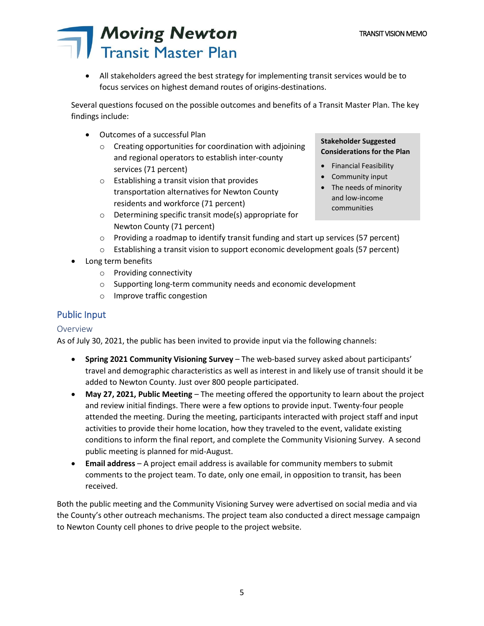• All stakeholders agreed the best strategy for implementing transit services would be to focus services on highest demand routes of origins-destinations.

Several questions focused on the possible outcomes and benefits of a Transit Master Plan. The key findings include:

- Outcomes of a successful Plan
	- o Creating opportunities for coordination with adjoining and regional operators to establish inter-county services (71 percent)
	- o Establishing a transit vision that provides transportation alternatives for Newton County residents and workforce (71 percent)
	- o Determining specific transit mode(s) appropriate for Newton County (71 percent)

#### **Stakeholder Suggested Considerations for the Plan**

- Financial Feasibility
- Community input
- The needs of minority and low-income communities
- $\circ$  Providing a roadmap to identify transit funding and start up services (57 percent)
- $\circ$  Establishing a transit vision to support economic development goals (57 percent)
- Long term benefits
	- o Providing connectivity
	- o Supporting long-term community needs and economic development
	- o Improve traffic congestion

### Public Input

#### Overview

As of July 30, 2021, the public has been invited to provide input via the following channels:

- **Spring 2021 Community Visioning Survey** The web-based survey asked about participants' travel and demographic characteristics as well as interest in and likely use of transit should it be added to Newton County. Just over 800 people participated.
- **May 27, 2021, Public Meeting** The meeting offered the opportunity to learn about the project and review initial findings. There were a few options to provide input. Twenty-four people attended the meeting. During the meeting, participants interacted with project staff and input activities to provide their home location, how they traveled to the event, validate existing conditions to inform the final report, and complete the Community Visioning Survey. A second public meeting is planned for mid-August.
- **Email address** A project email address is available for community members to submit comments to the project team. To date, only one email, in opposition to transit, has been received.

Both the public meeting and the Community Visioning Survey were advertised on social media and via the County's other outreach mechanisms. The project team also conducted a direct message campaign to Newton County cell phones to drive people to the project website.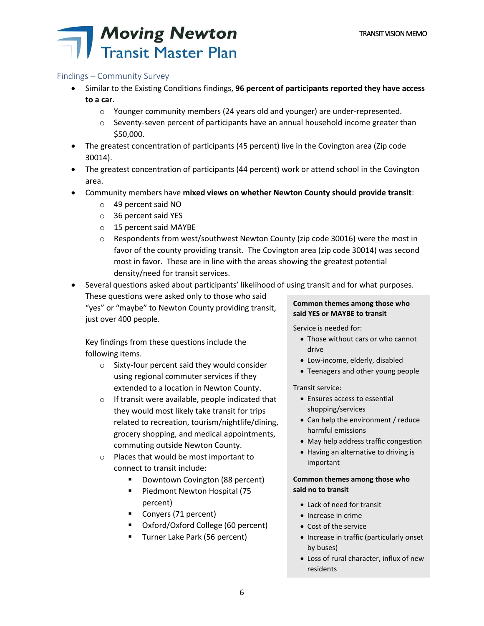### Findings – Community Survey

- Similar to the Existing Conditions findings, **96 percent of participants reported they have access to a car**.
	- o Younger community members (24 years old and younger) are under-represented.
	- $\circ$  Seventy-seven percent of participants have an annual household income greater than \$50,000.
- The greatest concentration of participants (45 percent) live in the Covington area (Zip code 30014).
- The greatest concentration of participants (44 percent) work or attend school in the Covington area.
- Community members have **mixed views on whether Newton County should provide transit**:
	- o 49 percent said NO
	- o 36 percent said YES
	- o 15 percent said MAYBE
	- $\circ$  Respondents from west/southwest Newton County (zip code 30016) were the most in favor of the county providing transit. The Covington area (zip code 30014) was second most in favor. These are in line with the areas showing the greatest potential density/need for transit services.

• Several questions asked about participants' likelihood of using transit and for what purposes.

These questions were asked only to those who said "yes" or "maybe" to Newton County providing transit, just over 400 people.

Key findings from these questions include the following items.

- o Sixty-four percent said they would consider using regional commuter services if they extended to a location in Newton County.
- o If transit were available, people indicated that they would most likely take transit for trips related to recreation, tourism/nightlife/dining, grocery shopping, and medical appointments, commuting outside Newton County.
- o Places that would be most important to connect to transit include:
	- Downtown Covington (88 percent)
	- Piedmont Newton Hospital (75 percent)
	- Conyers (71 percent)
	- Oxford/Oxford College (60 percent)
	- Turner Lake Park (56 percent)

### **Common themes among those who said YES or MAYBE to transit**

Service is needed for:

- Those without cars or who cannot drive
- Low-income, elderly, disabled
- Teenagers and other young people

Transit service:

- Ensures access to essential shopping/services
- Can help the environment / reduce harmful emissions
- May help address traffic congestion
- Having an alternative to driving is important

#### **Common themes among those who said no to transit**

- Lack of need for transit
- Increase in crime
- Cost of the service
- Increase in traffic (particularly onset by buses)
- Loss of rural character, influx of new residents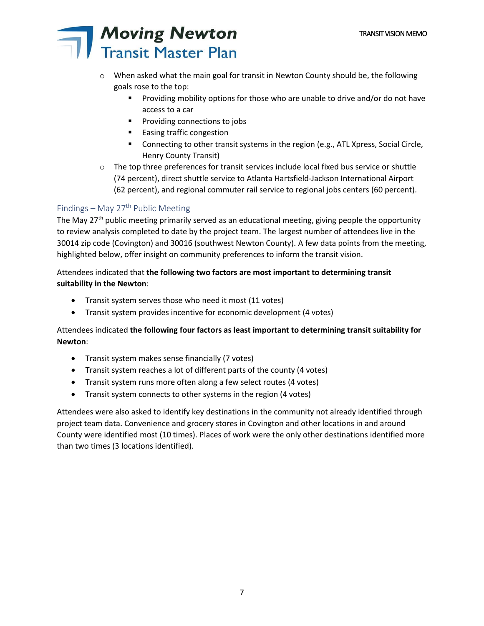- $\circ$  When asked what the main goal for transit in Newton County should be, the following goals rose to the top:
	- Providing mobility options for those who are unable to drive and/or do not have access to a car
	- Providing connections to jobs
	- Easing traffic congestion
	- Connecting to other transit systems in the region (e.g., ATL Xpress, Social Circle, Henry County Transit)
- $\circ$  The top three preferences for transit services include local fixed bus service or shuttle (74 percent), direct shuttle service to Atlanta Hartsfield-Jackson International Airport (62 percent), and regional commuter rail service to regional jobs centers (60 percent).

### Findings – May 27<sup>th</sup> Public Meeting

The May 27<sup>th</sup> public meeting primarily served as an educational meeting, giving people the opportunity to review analysis completed to date by the project team. The largest number of attendees live in the 30014 zip code (Covington) and 30016 (southwest Newton County). A few data points from the meeting, highlighted below, offer insight on community preferences to inform the transit vision.

### Attendees indicated that **the following two factors are most important to determining transit suitability in the Newton**:

- Transit system serves those who need it most (11 votes)
- Transit system provides incentive for economic development (4 votes)

### Attendees indicated **the following four factors as least important to determining transit suitability for Newton**:

- Transit system makes sense financially (7 votes)
- Transit system reaches a lot of different parts of the county (4 votes)
- Transit system runs more often along a few select routes (4 votes)
- Transit system connects to other systems in the region (4 votes)

Attendees were also asked to identify key destinations in the community not already identified through project team data. Convenience and grocery stores in Covington and other locations in and around County were identified most (10 times). Places of work were the only other destinations identified more than two times (3 locations identified).